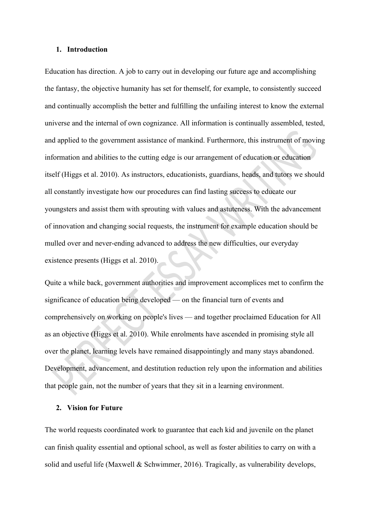#### **1. Introduction**

Education has direction. A job to carry out in developing our future age and accomplishing the fantasy, the objective humanity has set for themself, for example, to consistently succeed and continually accomplish the better and fulfilling the unfailing interest to know the external universe and the internal of own cognizance. All information is continually assembled, tested, and applied to the government assistance of mankind. Furthermore, this instrument of moving information and abilities to the cutting edge is our arrangement of education or education itself (Higgs et al. 2010). As instructors, educationists, guardians, heads, and tutors we should all constantly investigate how our procedures can find lasting success to educate our youngsters and assist them with sprouting with values and astuteness. With the advancement of innovation and changing social requests, the instrument for example education should be mulled over and never-ending advanced to address the new difficulties, our everyday existence presents (Higgs et al. 2010).

Quite a while back, government authorities and improvement accomplices met to confirm the significance of education being developed — on the financial turn of events and comprehensively on working on people's lives — and together proclaimed Education for All as an objective (Higgs et al. 2010). While enrolments have ascended in promising style all over the planet, learning levels have remained disappointingly and many stays abandoned. Development, advancement, and destitution reduction rely upon the information and abilities that people gain, not the number of years that they sit in a learning environment.

### **2. Vision for Future**

The world requests coordinated work to guarantee that each kid and juvenile on the planet can finish quality essential and optional school, as well as foster abilities to carry on with a solid and useful life (Maxwell & Schwimmer, 2016). Tragically, as vulnerability develops,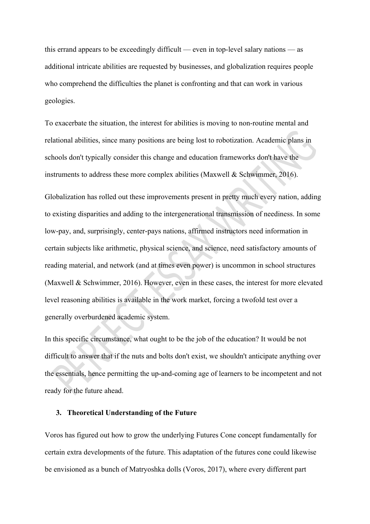this errand appears to be exceedingly difficult — even in top-level salary nations — as additional intricate abilities are requested by businesses, and globalization requires people who comprehend the difficulties the planet is confronting and that can work in various geologies.

To exacerbate the situation, the interest for abilities is moving to non-routine mental and relational abilities, since many positions are being lost to robotization. Academic plans in schools don't typically consider this change and education frameworks don't have the instruments to address these more complex abilities (Maxwell & Schwimmer, 2016).

Globalization has rolled out these improvements present in pretty much every nation, adding to existing disparities and adding to the intergenerational transmission of neediness. In some low-pay, and, surprisingly, center-pays nations, affirmed instructors need information in certain subjects like arithmetic, physical science, and science, need satisfactory amounts of reading material, and network (and at times even power) is uncommon in school structures (Maxwell & Schwimmer, 2016). However, even in these cases, the interest for more elevated level reasoning abilities is available in the work market, forcing a twofold test over a generally overburdened academic system.

In this specific circumstance, what ought to be the job of the education? It would be not difficult to answer that if the nuts and bolts don't exist, we shouldn't anticipate anything over the essentials, hence permitting the up-and-coming age of learners to be incompetent and not ready for the future ahead.

# **3. Theoretical Understanding of the Future**

Voros has figured out how to grow the underlying Futures Cone concept fundamentally for certain extra developments of the future. This adaptation of the futures cone could likewise be envisioned as a bunch of Matryoshka dolls (Voros, 2017), where every different part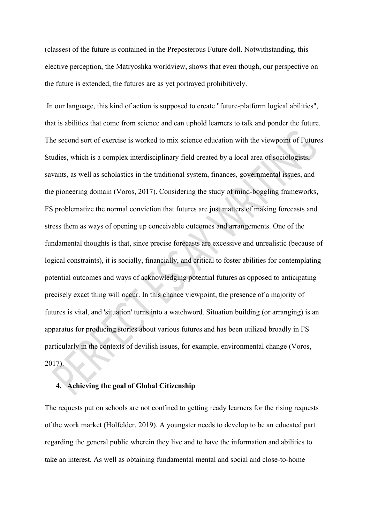(classes) of the future is contained in the Preposterous Future doll. Notwithstanding, this elective perception, the Matryoshka worldview, shows that even though, our perspective on the future is extended, the futures are as yet portrayed prohibitively.

 In our language, this kind of action is supposed to create "future-platform logical abilities", that is abilities that come from science and can uphold learners to talk and ponder the future. The second sort of exercise is worked to mix science education with the viewpoint of Futures Studies, which is a complex interdisciplinary field created by a local area of sociologists, savants, as well as scholastics in the traditional system, finances, governmental issues, and the pioneering domain (Voros, 2017). Considering the study of mind-boggling frameworks, FS problematize the normal conviction that futures are just matters of making forecasts and stress them as ways of opening up conceivable outcomes and arrangements. One of the fundamental thoughts is that, since precise forecasts are excessive and unrealistic (because of logical constraints), it is socially, financially, and critical to foster abilities for contemplating potential outcomes and ways of acknowledging potential futures as opposed to anticipating precisely exact thing will occur. In this chance viewpoint, the presence of a majority of futures is vital, and 'situation' turns into a watchword. Situation building (or arranging) is an apparatus for producing stories about various futures and has been utilized broadly in FS particularly in the contexts of devilish issues, for example, environmental change (Voros, 2017).

## **4. Achieving the goal of Global Citizenship**

The requests put on schools are not confined to getting ready learners for the rising requests of the work market (Holfelder, 2019). A youngster needs to develop to be an educated part regarding the general public wherein they live and to have the information and abilities to take an interest. As well as obtaining fundamental mental and social and close-to-home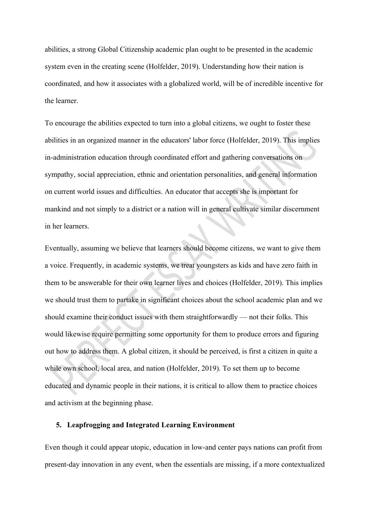abilities, a strong Global Citizenship academic plan ought to be presented in the academic system even in the creating scene (Holfelder, 2019). Understanding how their nation is coordinated, and how it associates with a globalized world, will be of incredible incentive for the learner.

To encourage the abilities expected to turn into a global citizens, we ought to foster these abilities in an organized manner in the educators' labor force (Holfelder, 2019). This implies in-administration education through coordinated effort and gathering conversations on sympathy, social appreciation, ethnic and orientation personalities, and general information on current world issues and difficulties. An educator that accepts she is important for mankind and not simply to a district or a nation will in general cultivate similar discernment in her learners.

Eventually, assuming we believe that learners should become citizens, we want to give them a voice. Frequently, in academic systems, we treat youngsters as kids and have zero faith in them to be answerable for their own learner lives and choices (Holfelder, 2019). This implies we should trust them to partake in significant choices about the school academic plan and we should examine their conduct issues with them straightforwardly — not their folks. This would likewise require permitting some opportunity for them to produce errors and figuring out how to address them. A global citizen, it should be perceived, is first a citizen in quite a while own school, local area, and nation (Holfelder, 2019). To set them up to become educated and dynamic people in their nations, it is critical to allow them to practice choices and activism at the beginning phase.

#### **5. Leapfrogging and Integrated Learning Environment**

Even though it could appear utopic, education in low-and center pays nations can profit from present-day innovation in any event, when the essentials are missing, if a more contextualized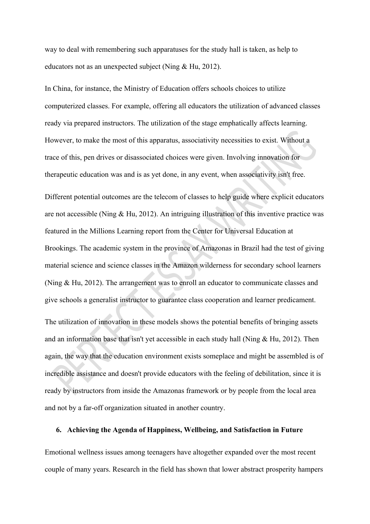way to deal with remembering such apparatuses for the study hall is taken, as help to educators not as an unexpected subject (Ning & Hu, 2012).

In China, for instance, the Ministry of Education offers schools choices to utilize computerized classes. For example, offering all educators the utilization of advanced classes ready via prepared instructors. The utilization of the stage emphatically affects learning. However, to make the most of this apparatus, associativity necessities to exist. Without a trace of this, pen drives or disassociated choices were given. Involving innovation for therapeutic education was and is as yet done, in any event, when associativity isn't free.

Different potential outcomes are the telecom of classes to help guide where explicit educators are not accessible (Ning & Hu, 2012). An intriguing illustration of this inventive practice was featured in the Millions Learning report from the Center for Universal Education at Brookings. The academic system in the province of Amazonas in Brazil had the test of giving material science and science classes in the Amazon wilderness for secondary school learners (Ning & Hu, 2012). The arrangement was to enroll an educator to communicate classes and give schools a generalist instructor to guarantee class cooperation and learner predicament. The utilization of innovation in these models shows the potential benefits of bringing assets and an information base that isn't yet accessible in each study hall (Ning  $& Hu$ , 2012). Then again, the way that the education environment exists someplace and might be assembled is of

incredible assistance and doesn't provide educators with the feeling of debilitation, since it is ready by instructors from inside the Amazonas framework or by people from the local area and not by a far-off organization situated in another country.

### **6. Achieving the Agenda of Happiness, Wellbeing, and Satisfaction in Future**

Emotional wellness issues among teenagers have altogether expanded over the most recent couple of many years. Research in the field has shown that lower abstract prosperity hampers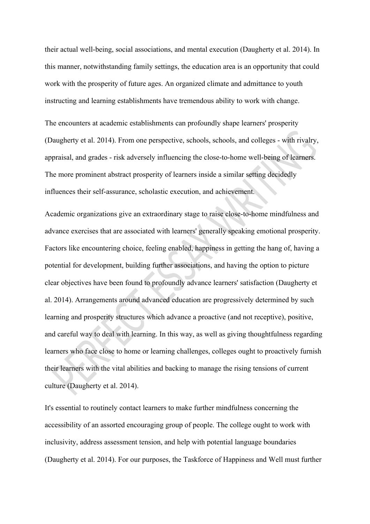their actual well-being, social associations, and mental execution (Daugherty et al. 2014). In this manner, notwithstanding family settings, the education area is an opportunity that could work with the prosperity of future ages. An organized climate and admittance to youth instructing and learning establishments have tremendous ability to work with change.

The encounters at academic establishments can profoundly shape learners' prosperity (Daugherty et al. 2014). From one perspective, schools, schools, and colleges - with rivalry, appraisal, and grades - risk adversely influencing the close-to-home well-being of learners. The more prominent abstract prosperity of learners inside a similar setting decidedly influences their self-assurance, scholastic execution, and achievement.

Academic organizations give an extraordinary stage to raise close-to-home mindfulness and advance exercises that are associated with learners' generally speaking emotional prosperity. Factors like encountering choice, feeling enabled, happiness in getting the hang of, having a potential for development, building further associations, and having the option to picture clear objectives have been found to profoundly advance learners' satisfaction (Daugherty et al. 2014). Arrangements around advanced education are progressively determined by such learning and prosperity structures which advance a proactive (and not receptive), positive, and careful way to deal with learning. In this way, as well as giving thoughtfulness regarding learners who face close to home or learning challenges, colleges ought to proactively furnish their learners with the vital abilities and backing to manage the rising tensions of current culture (Daugherty et al. 2014).

It's essential to routinely contact learners to make further mindfulness concerning the accessibility of an assorted encouraging group of people. The college ought to work with inclusivity, address assessment tension, and help with potential language boundaries (Daugherty et al. 2014). For our purposes, the Taskforce of Happiness and Well must further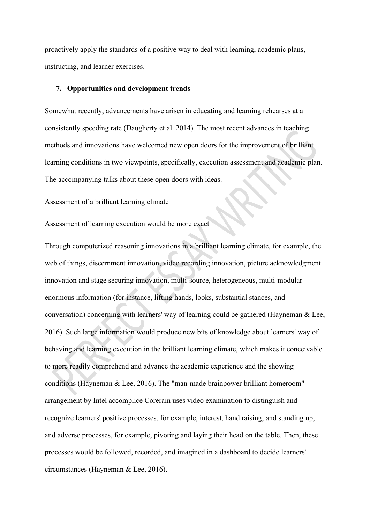proactively apply the standards of a positive way to deal with learning, academic plans, instructing, and learner exercises.

#### **7. Opportunities and development trends**

Somewhat recently, advancements have arisen in educating and learning rehearses at a consistently speeding rate (Daugherty et al. 2014). The most recent advances in teaching methods and innovations have welcomed new open doors for the improvement of brilliant learning conditions in two viewpoints, specifically, execution assessment and academic plan. The accompanying talks about these open doors with ideas.

## Assessment of a brilliant learning climate

Assessment of learning execution would be more exact

Through computerized reasoning innovations in a brilliant learning climate, for example, the web of things, discernment innovation, video recording innovation, picture acknowledgment innovation and stage securing innovation, multi-source, heterogeneous, multi-modular enormous information (for instance, lifting hands, looks, substantial stances, and conversation) concerning with learners' way of learning could be gathered (Hayneman & Lee, 2016). Such large information would produce new bits of knowledge about learners' way of behaving and learning execution in the brilliant learning climate, which makes it conceivable to more readily comprehend and advance the academic experience and the showing conditions (Hayneman & Lee, 2016). The "man-made brainpower brilliant homeroom" arrangement by Intel accomplice Corerain uses video examination to distinguish and recognize learners' positive processes, for example, interest, hand raising, and standing up, and adverse processes, for example, pivoting and laying their head on the table. Then, these processes would be followed, recorded, and imagined in a dashboard to decide learners' circumstances (Hayneman & Lee, 2016).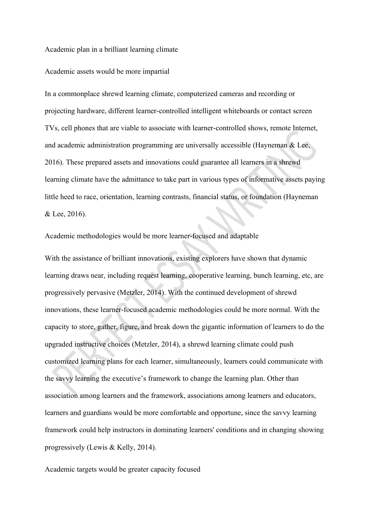#### Academic plan in a brilliant learning climate

#### Academic assets would be more impartial

In a commonplace shrewd learning climate, computerized cameras and recording or projecting hardware, different learner-controlled intelligent whiteboards or contact screen TVs, cell phones that are viable to associate with learner-controlled shows, remote Internet, and academic administration programming are universally accessible (Hayneman & Lee, 2016). These prepared assets and innovations could guarantee all learners in a shrewd learning climate have the admittance to take part in various types of informative assets paying little heed to race, orientation, learning contrasts, financial status, or foundation (Hayneman & Lee, 2016).

## Academic methodologies would be more learner-focused and adaptable

With the assistance of brilliant innovations, existing explorers have shown that dynamic learning draws near, including request learning, cooperative learning, bunch learning, etc, are progressively pervasive (Metzler, 2014). With the continued development of shrewd innovations, these learner-focused academic methodologies could be more normal. With the capacity to store, gather, figure, and break down the gigantic information of learners to do the upgraded instructive choices (Metzler, 2014), a shrewd learning climate could push customized learning plans for each learner, simultaneously, learners could communicate with the savvy learning the executive's framework to change the learning plan. Other than association among learners and the framework, associations among learners and educators, learners and guardians would be more comfortable and opportune, since the savvy learning framework could help instructors in dominating learners' conditions and in changing showing progressively (Lewis & Kelly, 2014).

Academic targets would be greater capacity focused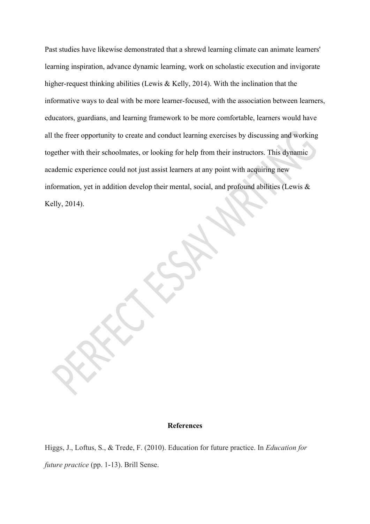Past studies have likewise demonstrated that a shrewd learning climate can animate learners' learning inspiration, advance dynamic learning, work on scholastic execution and invigorate higher-request thinking abilities (Lewis & Kelly, 2014). With the inclination that the informative ways to deal with be more learner-focused, with the association between learners, educators, guardians, and learning framework to be more comfortable, learners would have all the freer opportunity to create and conduct learning exercises by discussing and working together with their schoolmates, or looking for help from their instructors. This dynamic academic experience could not just assist learners at any point with acquiring new information, yet in addition develop their mental, social, and profound abilities (Lewis & Kelly, 2014).

### **References**

Higgs, J., Loftus, S., & Trede, F. (2010). Education for future practice. In *Education for future practice* (pp. 1-13). Brill Sense.